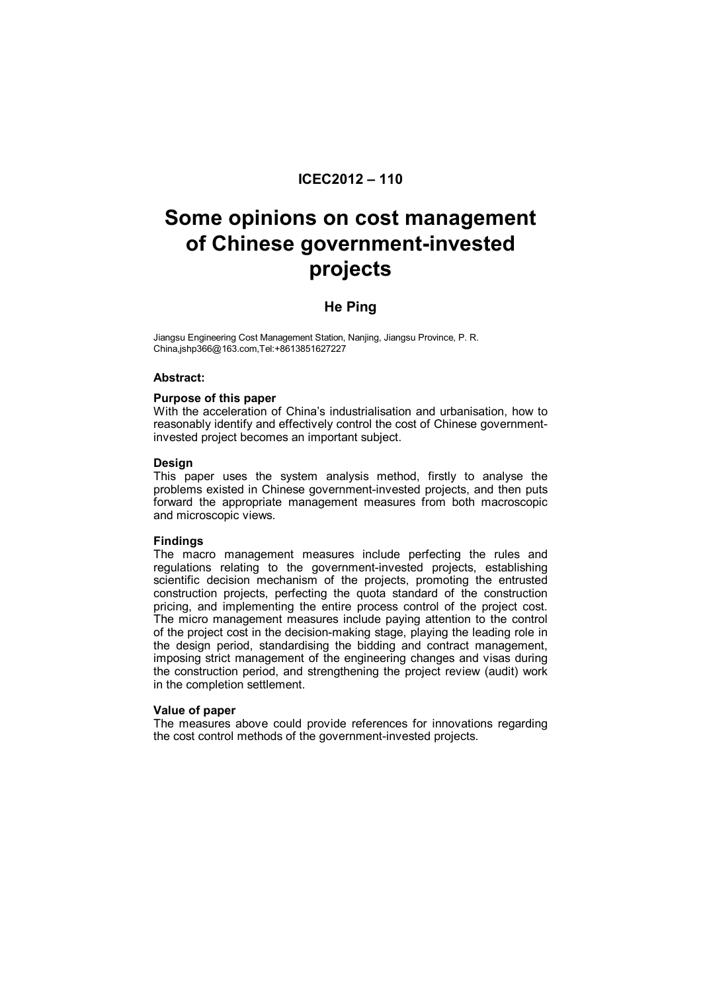# **ICEC2012 – 110**

# **Some opinions on cost management of Chinese government-invested projects**

# **He Ping**

Jiangsu Engineering Cost Management Station, Nanjing, Jiangsu Province, P. R. China,jshp366@163.com,Tel:+8613851627227

## **Abstract:**

## **Purpose of this paper**

With the acceleration of China's industrialisation and urbanisation, how to reasonably identify and effectively control the cost of Chinese governmentinvested project becomes an important subject.

## **Design**

This paper uses the system analysis method, firstly to analyse the problems existed in Chinese government-invested projects, and then puts forward the appropriate management measures from both macroscopic and microscopic views.

# **Findings**

The macro management measures include perfecting the rules and regulations relating to the government-invested projects, establishing scientific decision mechanism of the projects, promoting the entrusted construction projects, perfecting the quota standard of the construction pricing, and implementing the entire process control of the project cost. The micro management measures include paying attention to the control of the project cost in the decision-making stage, playing the leading role in the design period, standardising the bidding and contract management, imposing strict management of the engineering changes and visas during the construction period, and strengthening the project review (audit) work in the completion settlement.

#### **Value of paper**

The measures above could provide references for innovations regarding the cost control methods of the government-invested projects.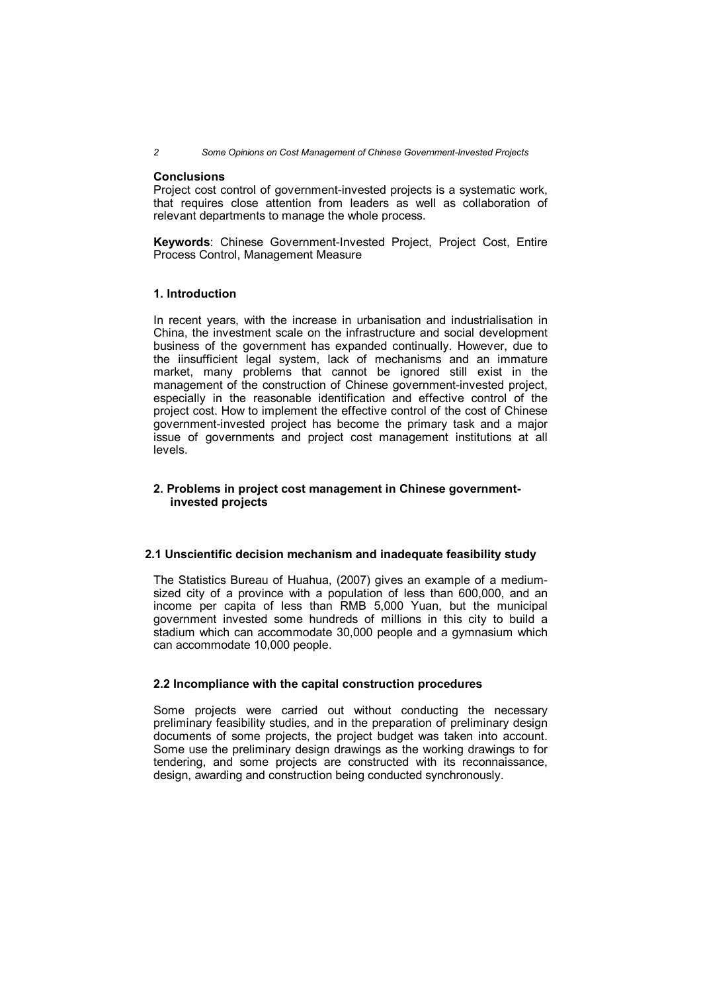*2 Some Opinions on Cost Management of Chinese Government-Invested Projects*

#### **Conclusions**

Project cost control of government-invested projects is a systematic work, that requires close attention from leaders as well as collaboration of relevant departments to manage the whole process.

**Keywords**: Chinese Government-Invested Project, Project Cost, Entire Process Control, Management Measure

# **1. Introduction**

In recent years, with the increase in urbanisation and industrialisation in China, the investment scale on the infrastructure and social development business of the government has expanded continually. However, due to the iinsufficient legal system, lack of mechanisms and an immature market, many problems that cannot be ignored still exist in the management of the construction of Chinese government-invested project, especially in the reasonable identification and effective control of the project cost. How to implement the effective control of the cost of Chinese government-invested project has become the primary task and a major issue of governments and project cost management institutions at all levels.

# **2. Problems in project cost management in Chinese governmentinvested projects**

# **2.1 Unscientific decision mechanism and inadequate feasibility study**

The Statistics Bureau of Huahua, (2007) gives an example of a mediumsized city of a province with a population of less than 600,000, and an income per capita of less than RMB 5,000 Yuan, but the municipal government invested some hundreds of millions in this city to build a stadium which can accommodate 30,000 people and a gymnasium which can accommodate 10,000 people.

# **2.2 Incompliance with the capital construction procedures**

Some projects were carried out without conducting the necessary preliminary feasibility studies, and in the preparation of preliminary design documents of some projects, the project budget was taken into account. Some use the preliminary design drawings as the working drawings to for tendering, and some projects are constructed with its reconnaissance, design, awarding and construction being conducted synchronously.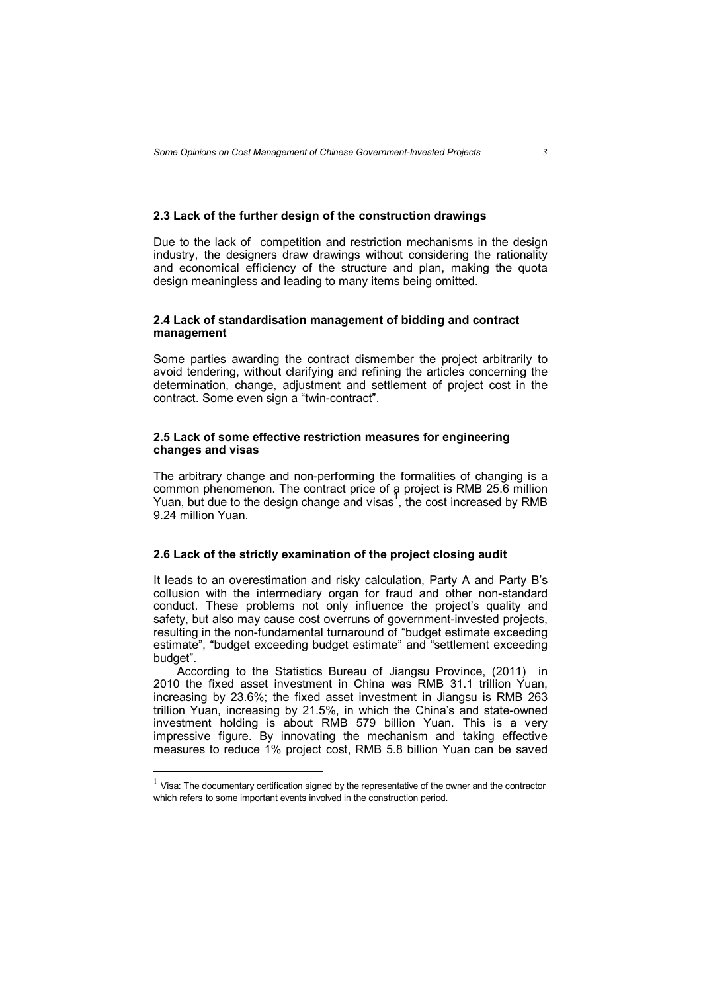# **2.3 Lack of the further design of the construction drawings**

Due to the lack of competition and restriction mechanisms in the design industry, the designers draw drawings without considering the rationality and economical efficiency of the structure and plan, making the quota design meaningless and leading to many items being omitted.

# **2.4 Lack of standardisation management of bidding and contract management**

Some parties awarding the contract dismember the project arbitrarily to avoid tendering, without clarifying and refining the articles concerning the determination, change, adjustment and settlement of project cost in the contract. Some even sign a "twin-contract".

# **2.5 Lack of some effective restriction measures for engineering changes and visas**

The arbitrary change and non-performing the formalities of changing is a common phenomenon. The contract price of a project is RMB 25.6 million Yuan, but due to the design change and visas<sup>1</sup>, the cost increased by RMB 9.24 million Yuan.

#### **2.6 Lack of the strictly examination of the project closing audit**

It leads to an overestimation and risky calculation, Party A and Party B's collusion with the intermediary organ for fraud and other non-standard conduct. These problems not only influence the project's quality and safety, but also may cause cost overruns of government-invested projects, resulting in the non-fundamental turnaround of "budget estimate exceeding estimate", "budget exceeding budget estimate" and "settlement exceeding budget".

According to the Statistics Bureau of Jiangsu Province, (2011) in 2010 the fixed asset investment in China was RMB 31.1 trillion Yuan, increasing by 23.6%; the fixed asset investment in Jiangsu is RMB 263 trillion Yuan, increasing by 21.5%, in which the China's and state-owned investment holding is about RMB 579 billion Yuan. This is a very impressive figure. By innovating the mechanism and taking effective measures to reduce 1% project cost, RMB 5.8 billion Yuan can be saved

 $\overline{a}$ 

 $<sup>1</sup>$  Visa: The documentary certification signed by the representative of the owner and the contractor</sup> which refers to some important events involved in the construction period.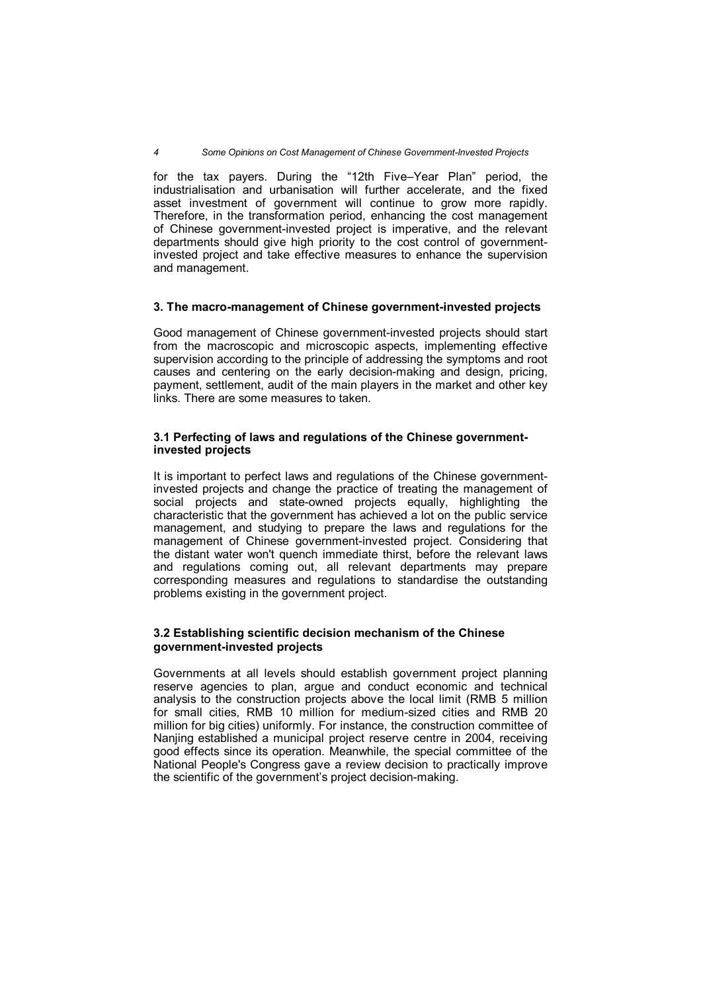for the tax payers. During the "12th Five–Year Plan" period, the industrialisation and urbanisation will further accelerate, and the fixed asset investment of government will continue to grow more rapidly. Therefore, in the transformation period, enhancing the cost management of Chinese government-invested project is imperative, and the relevant departments should give high priority to the cost control of governmentinvested project and take effective measures to enhance the supervision and management.

## **3. The macro-management of Chinese government-invested projects**

Good management of Chinese government-invested projects should start from the macroscopic and microscopic aspects, implementing effective supervision according to the principle of addressing the symptoms and root causes and centering on the early decision-making and design, pricing, payment, settlement, audit of the main players in the market and other key links. There are some measures to taken.

# **3.1 Perfecting of laws and regulations of the Chinese governmentinvested projects**

It is important to perfect laws and regulations of the Chinese governmentinvested projects and change the practice of treating the management of social projects and state-owned projects equally, highlighting the characteristic that the government has achieved a lot on the public service management, and studying to prepare the laws and regulations for the management of Chinese government-invested project. Considering that the distant water won't quench immediate thirst, before the relevant laws and regulations coming out, all relevant departments may prepare corresponding measures and regulations to standardise the outstanding problems existing in the government project.

# **3.2 Establishing scientific decision mechanism of the Chinese government-invested projects**

Governments at all levels should establish government project planning reserve agencies to plan, argue and conduct economic and technical analysis to the construction projects above the local limit (RMB 5 million for small cities, RMB 10 million for medium-sized cities and RMB 20 million for big cities) uniformly. For instance, the construction committee of Nanjing established a municipal project reserve centre in 2004, receiving good effects since its operation. Meanwhile, the special committee of the National People's Congress gave a review decision to practically improve the scientific of the government's project decision-making.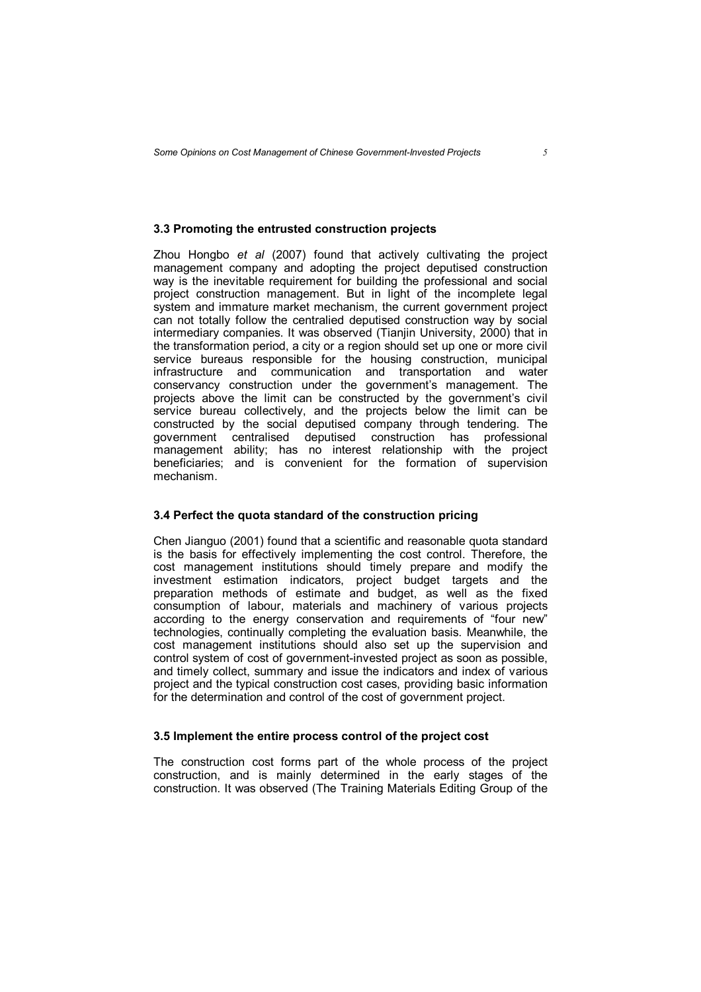#### **3.3 Promoting the entrusted construction projects**

Zhou Hongbo *et al* (2007) found that actively cultivating the project management company and adopting the project deputised construction way is the inevitable requirement for building the professional and social project construction management. But in light of the incomplete legal system and immature market mechanism, the current government project can not totally follow the centralied deputised construction way by social intermediary companies. It was observed (Tianjin University, 2000) that in the transformation period, a city or a region should set up one or more civil service bureaus responsible for the housing construction, municipal infrastructure and communication and transportation and water conservancy construction under the government's management. The projects above the limit can be constructed by the government's civil service bureau collectively, and the projects below the limit can be constructed by the social deputised company through tendering. The government centralised deputised construction has professional management ability; has no interest relationship with the project beneficiaries; and is convenient for the formation of supervision mechanism.

#### **3.4 Perfect the quota standard of the construction pricing**

Chen Jianguo (2001) found that a scientific and reasonable quota standard is the basis for effectively implementing the cost control. Therefore, the cost management institutions should timely prepare and modify the investment estimation indicators, project budget targets and the preparation methods of estimate and budget, as well as the fixed consumption of labour, materials and machinery of various projects according to the energy conservation and requirements of "four new" technologies, continually completing the evaluation basis. Meanwhile, the cost management institutions should also set up the supervision and control system of cost of government-invested project as soon as possible, and timely collect, summary and issue the indicators and index of various project and the typical construction cost cases, providing basic information for the determination and control of the cost of government project.

#### **3.5 Implement the entire process control of the project cost**

The construction cost forms part of the whole process of the project construction, and is mainly determined in the early stages of the construction. It was observed (The Training Materials Editing Group of the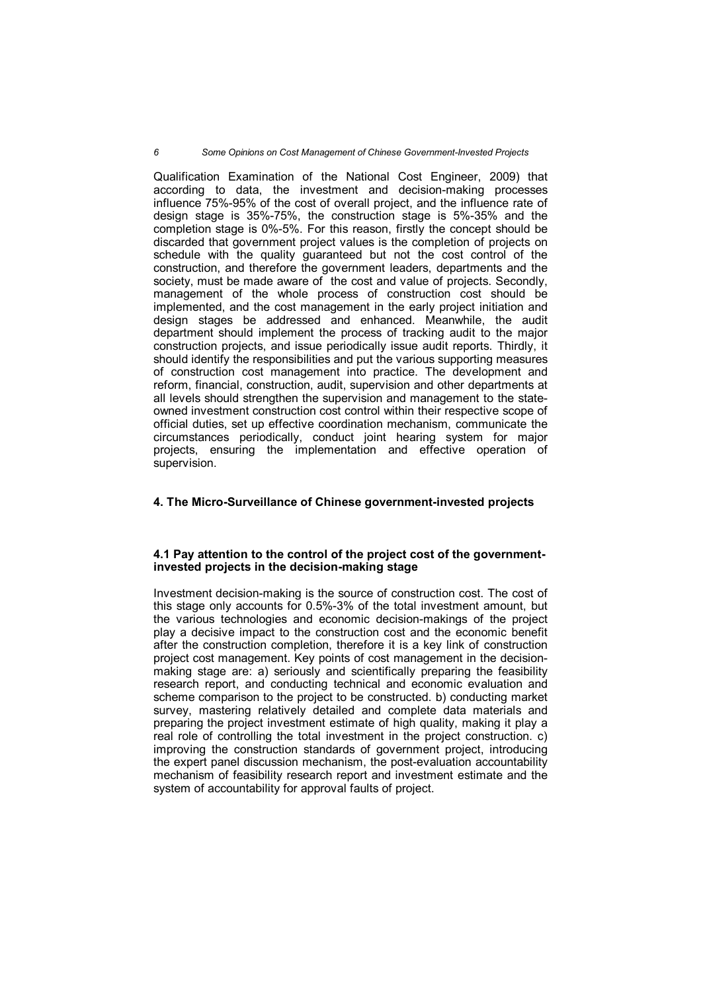Qualification Examination of the National Cost Engineer, 2009) that according to data, the investment and decision-making processes influence 75%-95% of the cost of overall project, and the influence rate of design stage is 35%-75%, the construction stage is 5%-35% and the completion stage is 0%-5%. For this reason, firstly the concept should be discarded that government project values is the completion of projects on schedule with the quality guaranteed but not the cost control of the construction, and therefore the government leaders, departments and the society, must be made aware of the cost and value of projects. Secondly, management of the whole process of construction cost should be implemented, and the cost management in the early project initiation and design stages be addressed and enhanced. Meanwhile, the audit department should implement the process of tracking audit to the major construction projects, and issue periodically issue audit reports. Thirdly, it should identify the responsibilities and put the various supporting measures of construction cost management into practice. The development and reform, financial, construction, audit, supervision and other departments at all levels should strengthen the supervision and management to the stateowned investment construction cost control within their respective scope of official duties, set up effective coordination mechanism, communicate the circumstances periodically, conduct joint hearing system for major projects, ensuring the implementation and effective operation of supervision.

#### **4. The Micro-Surveillance of Chinese government-invested projects**

## **4.1 Pay attention to the control of the project cost of the governmentinvested projects in the decision-making stage**

Investment decision-making is the source of construction cost. The cost of this stage only accounts for 0.5%-3% of the total investment amount, but the various technologies and economic decision-makings of the project play a decisive impact to the construction cost and the economic benefit after the construction completion, therefore it is a key link of construction project cost management. Key points of cost management in the decisionmaking stage are: a) seriously and scientifically preparing the feasibility research report, and conducting technical and economic evaluation and scheme comparison to the project to be constructed. b) conducting market survey, mastering relatively detailed and complete data materials and preparing the project investment estimate of high quality, making it play a real role of controlling the total investment in the project construction. c) improving the construction standards of government project, introducing the expert panel discussion mechanism, the post-evaluation accountability mechanism of feasibility research report and investment estimate and the system of accountability for approval faults of project.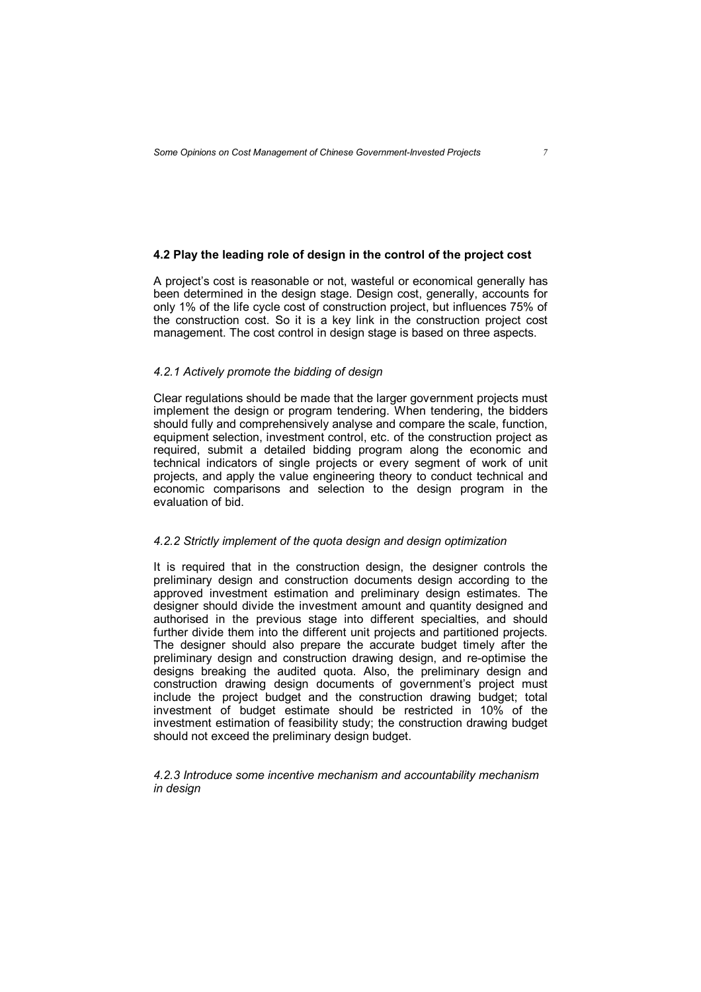# **4.2 Play the leading role of design in the control of the project cost**

A project's cost is reasonable or not, wasteful or economical generally has been determined in the design stage. Design cost, generally, accounts for only 1% of the life cycle cost of construction project, but influences 75% of the construction cost. So it is a key link in the construction project cost management. The cost control in design stage is based on three aspects.

#### *4.2.1 Actively promote the bidding of design*

Clear regulations should be made that the larger government projects must implement the design or program tendering. When tendering, the bidders should fully and comprehensively analyse and compare the scale, function, equipment selection, investment control, etc. of the construction project as required, submit a detailed bidding program along the economic and technical indicators of single projects or every segment of work of unit projects, and apply the value engineering theory to conduct technical and economic comparisons and selection to the design program in the evaluation of bid.

#### *4.2.2 Strictly implement of the quota design and design optimization*

It is required that in the construction design, the designer controls the preliminary design and construction documents design according to the approved investment estimation and preliminary design estimates. The designer should divide the investment amount and quantity designed and authorised in the previous stage into different specialties, and should further divide them into the different unit projects and partitioned projects. The designer should also prepare the accurate budget timely after the preliminary design and construction drawing design, and re-optimise the designs breaking the audited quota. Also, the preliminary design and construction drawing design documents of government's project must include the project budget and the construction drawing budget; total investment of budget estimate should be restricted in 10% of the investment estimation of feasibility study; the construction drawing budget should not exceed the preliminary design budget.

*4.2.3 Introduce some incentive mechanism and accountability mechanism in design*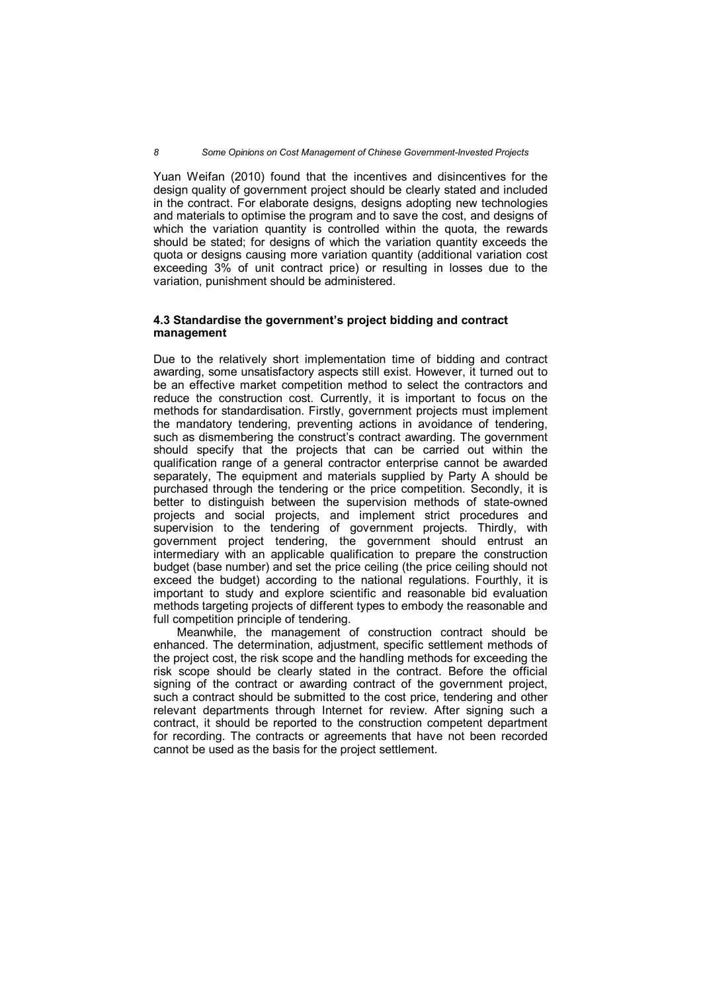Yuan Weifan (2010) found that the incentives and disincentives for the design quality of government project should be clearly stated and included in the contract. For elaborate designs, designs adopting new technologies and materials to optimise the program and to save the cost, and designs of which the variation quantity is controlled within the quota, the rewards should be stated; for designs of which the variation quantity exceeds the quota or designs causing more variation quantity (additional variation cost exceeding 3% of unit contract price) or resulting in losses due to the variation, punishment should be administered.

## **4.3 Standardise the government's project bidding and contract management**

Due to the relatively short implementation time of bidding and contract awarding, some unsatisfactory aspects still exist. However, it turned out to be an effective market competition method to select the contractors and reduce the construction cost. Currently, it is important to focus on the methods for standardisation. Firstly, government projects must implement the mandatory tendering, preventing actions in avoidance of tendering, such as dismembering the construct's contract awarding. The government should specify that the projects that can be carried out within the qualification range of a general contractor enterprise cannot be awarded separately, The equipment and materials supplied by Party A should be purchased through the tendering or the price competition. Secondly, it is better to distinguish between the supervision methods of state-owned projects and social projects, and implement strict procedures and supervision to the tendering of government projects. Thirdly, with government project tendering, the government should entrust an intermediary with an applicable qualification to prepare the construction budget (base number) and set the price ceiling (the price ceiling should not exceed the budget) according to the national regulations. Fourthly, it is important to study and explore scientific and reasonable bid evaluation methods targeting projects of different types to embody the reasonable and full competition principle of tendering.

Meanwhile, the management of construction contract should be enhanced. The determination, adjustment, specific settlement methods of the project cost, the risk scope and the handling methods for exceeding the risk scope should be clearly stated in the contract. Before the official signing of the contract or awarding contract of the government project, such a contract should be submitted to the cost price, tendering and other relevant departments through Internet for review. After signing such a contract, it should be reported to the construction competent department for recording. The contracts or agreements that have not been recorded cannot be used as the basis for the project settlement.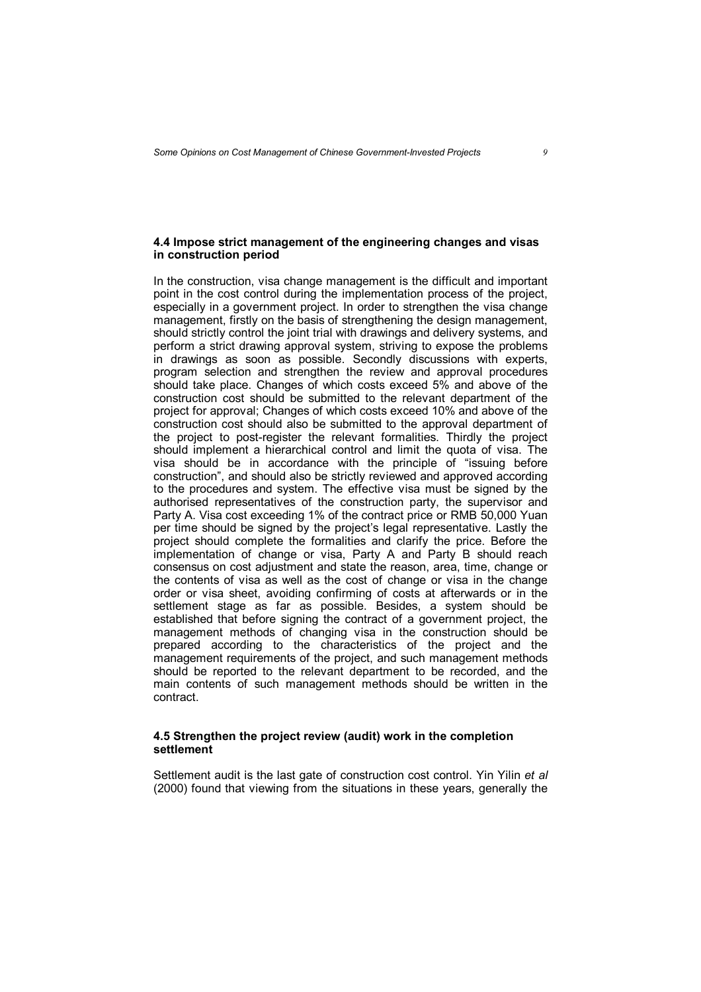# **4.4 Impose strict management of the engineering changes and visas in construction period**

In the construction, visa change management is the difficult and important point in the cost control during the implementation process of the project, especially in a government project. In order to strengthen the visa change management, firstly on the basis of strengthening the design management, should strictly control the joint trial with drawings and delivery systems, and perform a strict drawing approval system, striving to expose the problems in drawings as soon as possible. Secondly discussions with experts, program selection and strengthen the review and approval procedures should take place. Changes of which costs exceed 5% and above of the construction cost should be submitted to the relevant department of the project for approval; Changes of which costs exceed 10% and above of the construction cost should also be submitted to the approval department of the project to post-register the relevant formalities. Thirdly the project should implement a hierarchical control and limit the quota of visa. The visa should be in accordance with the principle of "issuing before construction", and should also be strictly reviewed and approved according to the procedures and system. The effective visa must be signed by the authorised representatives of the construction party, the supervisor and Party A. Visa cost exceeding 1% of the contract price or RMB 50,000 Yuan per time should be signed by the project's legal representative. Lastly the project should complete the formalities and clarify the price. Before the implementation of change or visa, Party A and Party B should reach consensus on cost adjustment and state the reason, area, time, change or the contents of visa as well as the cost of change or visa in the change order or visa sheet, avoiding confirming of costs at afterwards or in the settlement stage as far as possible. Besides, a system should be established that before signing the contract of a government project, the management methods of changing visa in the construction should be prepared according to the characteristics of the project and the management requirements of the project, and such management methods should be reported to the relevant department to be recorded, and the main contents of such management methods should be written in the contract.

#### **4.5 Strengthen the project review (audit) work in the completion settlement**

Settlement audit is the last gate of construction cost control. Yin Yilin *et al*  (2000) found that viewing from the situations in these years, generally the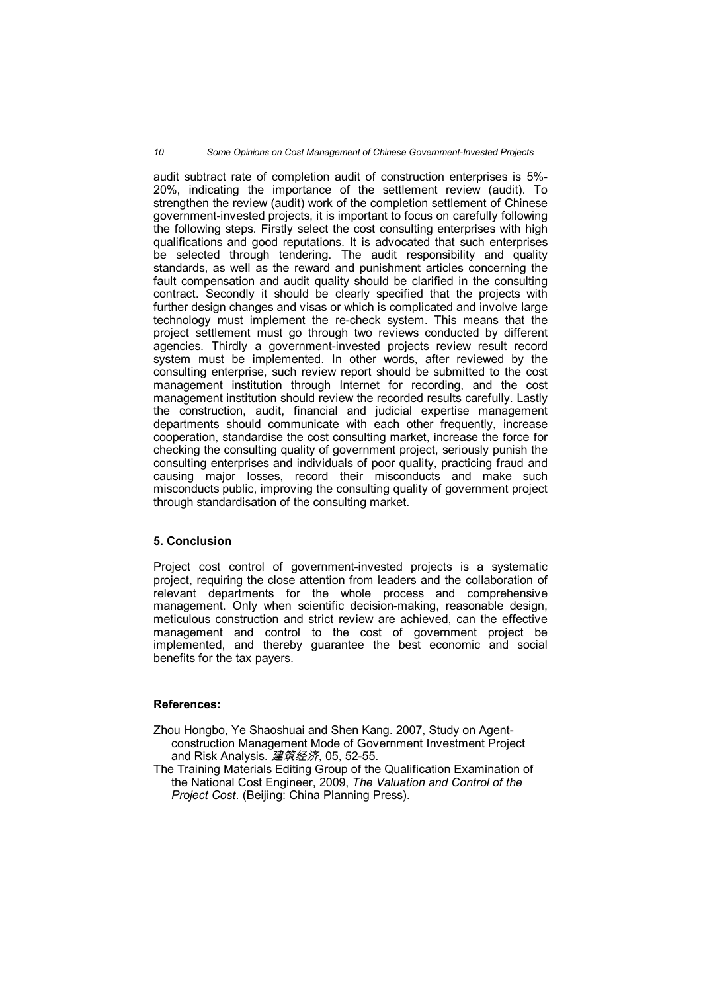#### *10 Some Opinions on Cost Management of Chinese Government-Invested Projects*

audit subtract rate of completion audit of construction enterprises is 5%- 20%, indicating the importance of the settlement review (audit). To strengthen the review (audit) work of the completion settlement of Chinese government-invested projects, it is important to focus on carefully following the following steps. Firstly select the cost consulting enterprises with high qualifications and good reputations. It is advocated that such enterprises be selected through tendering. The audit responsibility and quality standards, as well as the reward and punishment articles concerning the fault compensation and audit quality should be clarified in the consulting contract. Secondly it should be clearly specified that the projects with further design changes and visas or which is complicated and involve large technology must implement the re-check system. This means that the project settlement must go through two reviews conducted by different agencies. Thirdly a government-invested projects review result record system must be implemented. In other words, after reviewed by the consulting enterprise, such review report should be submitted to the cost management institution through Internet for recording, and the cost management institution should review the recorded results carefully. Lastly the construction, audit, financial and judicial expertise management departments should communicate with each other frequently, increase cooperation, standardise the cost consulting market, increase the force for checking the consulting quality of government project, seriously punish the consulting enterprises and individuals of poor quality, practicing fraud and causing major losses, record their misconducts and make such misconducts public, improving the consulting quality of government project through standardisation of the consulting market.

#### **5. Conclusion**

Project cost control of government-invested projects is a systematic project, requiring the close attention from leaders and the collaboration of relevant departments for the whole process and comprehensive management. Only when scientific decision-making, reasonable design, meticulous construction and strict review are achieved, can the effective management and control to the cost of government project be implemented, and thereby guarantee the best economic and social benefits for the tax payers.

#### **References:**

- Zhou Hongbo, Ye Shaoshuai and Shen Kang. 2007, Study on Agentconstruction Management Mode of Government Investment Project and Risk Analysis. *建筑经济*, 05, 52-55.
- The Training Materials Editing Group of the Qualification Examination of the National Cost Engineer, 2009, *The Valuation and Control of the Project Cost*. (Beijing: China Planning Press).